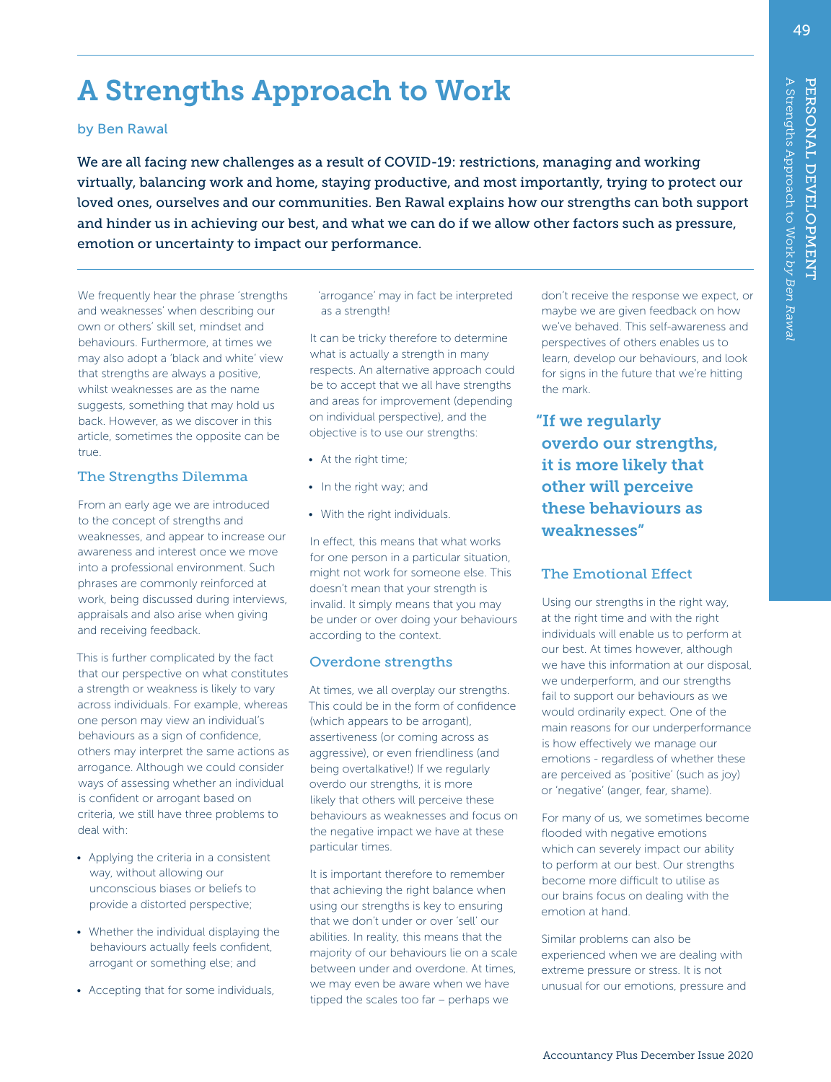# A Strengths Approach to Work

#### by Ben Rawal

We are all facing new challenges as a result of COVID-19: restrictions, managing and working virtually, balancing work and home, staying productive, and most importantly, trying to protect our loved ones, ourselves and our communities. Ben Rawal explains how our strengths can both support and hinder us in achieving our best, and what we can do if we allow other factors such as pressure, emotion or uncertainty to impact our performance.

We frequently hear the phrase 'strengths and weaknesses' when describing our own or others' skill set, mindset and behaviours. Furthermore, at times we may also adopt a 'black and white' view that strengths are always a positive, whilst weaknesses are as the name suggests, something that may hold us back. However, as we discover in this article, sometimes the opposite can be true.

## The Strengths Dilemma

From an early age we are introduced to the concept of strengths and weaknesses, and appear to increase our awareness and interest once we move into a professional environment. Such phrases are commonly reinforced at work, being discussed during interviews, appraisals and also arise when giving and receiving feedback.

This is further complicated by the fact that our perspective on what constitutes a strength or weakness is likely to vary across individuals. For example, whereas one person may view an individual's behaviours as a sign of confidence, others may interpret the same actions as arrogance. Although we could consider ways of assessing whether an individual is confident or arrogant based on criteria, we still have three problems to deal with:

- Applying the criteria in a consistent way, without allowing our unconscious biases or beliefs to provide a distorted perspective;
- Whether the individual displaying the behaviours actually feels confident, arrogant or something else; and
- Accepting that for some individuals,

'arrogance' may in fact be interpreted as a strength!

It can be tricky therefore to determine what is actually a strength in many respects. An alternative approach could be to accept that we all have strengths and areas for improvement (depending on individual perspective), and the objective is to use our strengths:

- At the right time;
- In the right way; and
- With the right individuals.

In effect, this means that what works for one person in a particular situation, might not work for someone else. This doesn't mean that your strength is invalid. It simply means that you may be under or over doing your behaviours according to the context.

# Overdone strengths

At times, we all overplay our strengths. This could be in the form of confidence (which appears to be arrogant), assertiveness (or coming across as aggressive), or even friendliness (and being overtalkative!) If we regularly overdo our strengths, it is more likely that others will perceive these behaviours as weaknesses and focus on the negative impact we have at these particular times.

It is important therefore to remember that achieving the right balance when using our strengths is key to ensuring that we don't under or over 'sell' our abilities. In reality, this means that the majority of our behaviours lie on a scale between under and overdone. At times, we may even be aware when we have tipped the scales too far – perhaps we

don't receive the response we expect, or maybe we are given feedback on how we've behaved. This self-awareness and perspectives of others enables us to learn, develop our behaviours, and look for signs in the future that we're hitting the mark.

"If we regularly overdo our strengths, it is more likely that other will perceive these behaviours as weaknesses"

# The Emotional Effect

Using our strengths in the right way, at the right time and with the right individuals will enable us to perform at our best. At times however, although we have this information at our disposal, we underperform, and our strengths fail to support our behaviours as we would ordinarily expect. One of the main reasons for our underperformance is how effectively we manage our emotions - regardless of whether these are perceived as 'positive' (such as joy) or 'negative' (anger, fear, shame).

For many of us, we sometimes become flooded with negative emotions which can severely impact our ability to perform at our best. Our strengths become more difficult to utilise as our brains focus on dealing with the emotion at hand.

Similar problems can also be experienced when we are dealing with extreme pressure or stress. It is not unusual for our emotions, pressure and